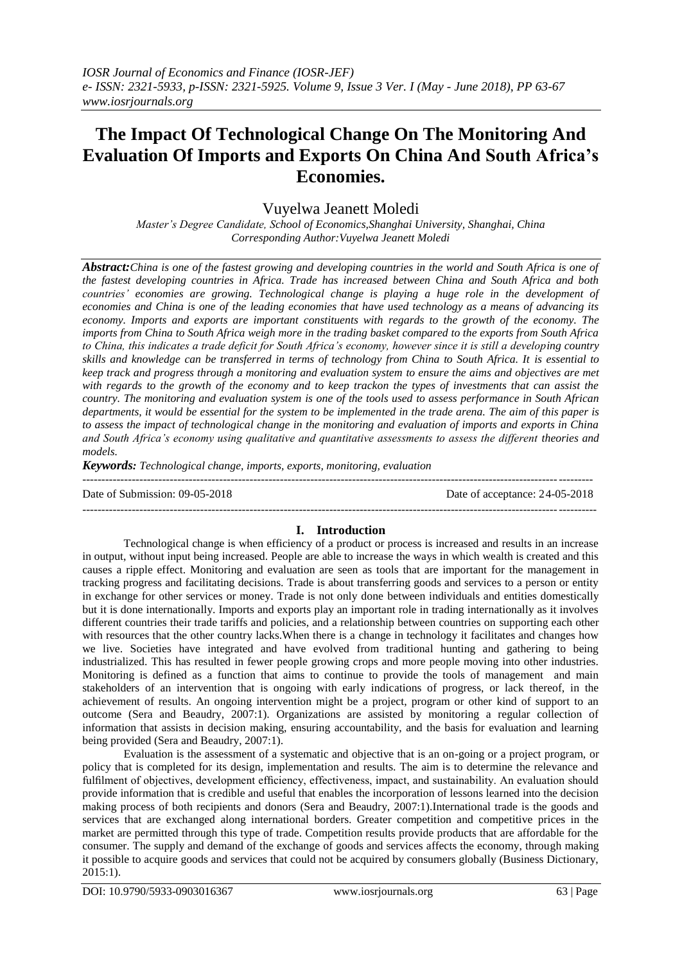## **The Impact Of Technological Change On The Monitoring And Evaluation Of Imports and Exports On China And South Africa's Economies.**

## Vuyelwa Jeanett Moledi

*Master's Degree Candidate, School of Economics,Shanghai University, Shanghai, China Corresponding Author:Vuyelwa Jeanett Moledi*

*Abstract:China is one of the fastest growing and developing countries in the world and South Africa is one of the fastest developing countries in Africa. Trade has increased between China and South Africa and both countries' economies are growing. Technological change is playing a huge role in the development of economies and China is one of the leading economies that have used technology as a means of advancing its economy. Imports and exports are important constituents with regards to the growth of the economy. The imports from China to South Africa weigh more in the trading basket compared to the exports from South Africa to China, this indicates a trade deficit for South Africa's economy, however since it is still a developing country skills and knowledge can be transferred in terms of technology from China to South Africa. It is essential to keep track and progress through a monitoring and evaluation system to ensure the aims and objectives are met with regards to the growth of the economy and to keep trackon the types of investments that can assist the country. The monitoring and evaluation system is one of the tools used to assess performance in South African departments, it would be essential for the system to be implemented in the trade arena. The aim of this paper is to assess the impact of technological change in the monitoring and evaluation of imports and exports in China and South Africa's economy using qualitative and quantitative assessments to assess the different theories and models.*

*Keywords: Technological change, imports, exports, monitoring, evaluation*

Date of Submission: 09-05-2018 Date of acceptance: 24-05-2018

--------------------------------------------------------------------------------------------------------------------------------------

# ---------------------------------------------------------------------------------------------------------------------------------------

**I. Introduction** Technological change is when efficiency of a product or process is increased and results in an increase in output, without input being increased. People are able to increase the ways in which wealth is created and this causes a ripple effect. Monitoring and evaluation are seen as tools that are important for the management in tracking progress and facilitating decisions. Trade is about transferring goods and services to a person or entity in exchange for other services or money. Trade is not only done between individuals and entities domestically but it is done internationally. Imports and exports play an important role in trading internationally as it involves different countries their trade tariffs and policies, and a relationship between countries on supporting each other with resources that the other country lacks. When there is a change in technology it facilitates and changes how we live. Societies have integrated and have evolved from traditional hunting and gathering to being industrialized. This has resulted in fewer people growing crops and more people moving into other industries. Monitoring is defined as a function that aims to continue to provide the tools of management and main stakeholders of an intervention that is ongoing with early indications of progress, or lack thereof, in the achievement of results. An ongoing intervention might be a project, program or other kind of support to an outcome (Sera and Beaudry, 2007:1). Organizations are assisted by monitoring a regular collection of information that assists in decision making, ensuring accountability, and the basis for evaluation and learning being provided (Sera and Beaudry, 2007:1).

Evaluation is the assessment of a systematic and objective that is an on-going or a project program, or policy that is completed for its design, implementation and results. The aim is to determine the relevance and fulfilment of objectives, development efficiency, effectiveness, impact, and sustainability. An evaluation should provide information that is credible and useful that enables the incorporation of lessons learned into the decision making process of both recipients and donors (Sera and Beaudry, 2007:1).International trade is the goods and services that are exchanged along international borders. Greater competition and competitive prices in the market are permitted through this type of trade. Competition results provide products that are affordable for the consumer. The supply and demand of the exchange of goods and services affects the economy, through making it possible to acquire goods and services that could not be acquired by consumers globally (Business Dictionary, 2015:1).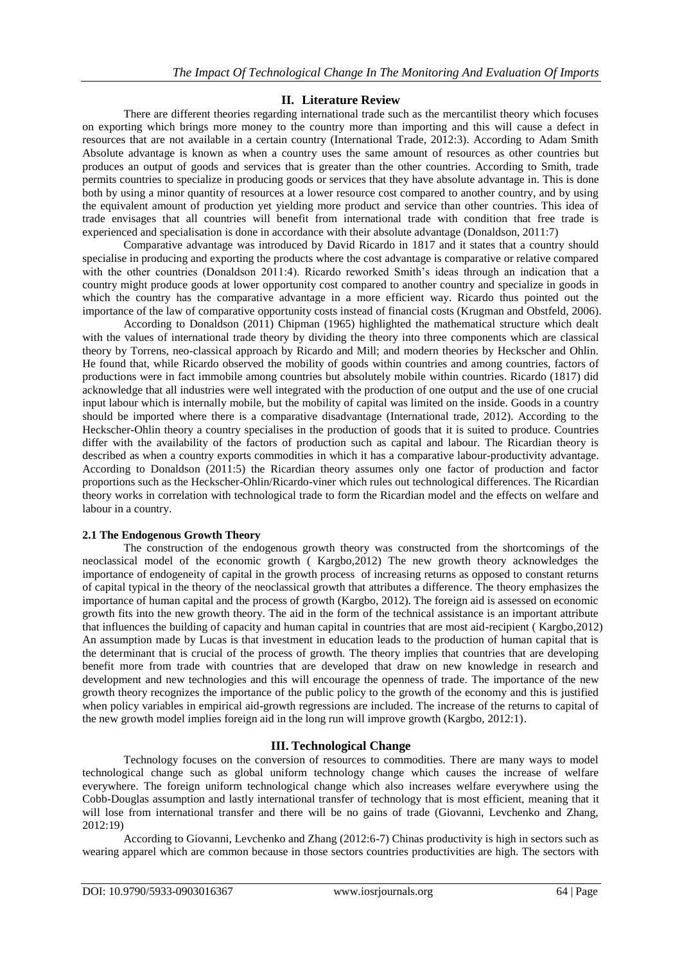## **II. Literature Review**

There are different theories regarding international trade such as the mercantilist theory which focuses on exporting which brings more money to the country more than importing and this will cause a defect in resources that are not available in a certain country (International Trade, 2012:3). According to Adam Smith Absolute advantage is known as when a country uses the same amount of resources as other countries but produces an output of goods and services that is greater than the other countries. According to Smith, trade permits countries to specialize in producing goods or services that they have absolute advantage in. This is done both by using a minor quantity of resources at a lower resource cost compared to another country, and by using the equivalent amount of production yet yielding more product and service than other countries. This idea of trade envisages that all countries will benefit from international trade with condition that free trade is experienced and specialisation is done in accordance with their absolute advantage (Donaldson, 2011:7)

Comparative advantage was introduced by David Ricardo in 1817 and it states that a country should specialise in producing and exporting the products where the cost advantage is comparative or relative compared with the other countries (Donaldson 2011:4). Ricardo reworked Smith's ideas through an indication that a country might produce goods at lower opportunity cost compared to another country and specialize in goods in which the country has the comparative advantage in a more efficient way. Ricardo thus pointed out the importance of the law of comparative opportunity costs instead of financial costs (Krugman and Obstfeld, 2006).

According to Donaldson (2011) Chipman (1965) highlighted the mathematical structure which dealt with the values of international trade theory by dividing the theory into three components which are classical theory by Torrens, neo-classical approach by Ricardo and Mill; and modern theories by Heckscher and Ohlin. He found that, while Ricardo observed the mobility of goods within countries and among countries, factors of productions were in fact immobile among countries but absolutely mobile within countries. Ricardo (1817) did acknowledge that all industries were well integrated with the production of one output and the use of one crucial input labour which is internally mobile, but the mobility of capital was limited on the inside. Goods in a country should be imported where there is a comparative disadvantage (International trade, 2012). According to the Heckscher-Ohlin theory a country specialises in the production of goods that it is suited to produce. Countries differ with the availability of the factors of production such as capital and labour. The Ricardian theory is described as when a country exports commodities in which it has a comparative labour-productivity advantage. According to Donaldson (2011:5) the Ricardian theory assumes only one factor of production and factor proportions such as the Heckscher-Ohlin/Ricardo-viner which rules out technological differences. The Ricardian theory works in correlation with technological trade to form the Ricardian model and the effects on welfare and labour in a country.

## **2.1 The Endogenous Growth Theory**

The construction of the endogenous growth theory was constructed from the shortcomings of the neoclassical model of the economic growth ( Kargbo,2012) The new growth theory acknowledges the importance of endogeneity of capital in the growth process of increasing returns as opposed to constant returns of capital typical in the theory of the neoclassical growth that attributes a difference. The theory emphasizes the importance of human capital and the process of growth (Kargbo, 2012). The foreign aid is assessed on economic growth fits into the new growth theory. The aid in the form of the technical assistance is an important attribute that influences the building of capacity and human capital in countries that are most aid-recipient ( Kargbo,2012) An assumption made by Lucas is that investment in education leads to the production of human capital that is the determinant that is crucial of the process of growth. The theory implies that countries that are developing benefit more from trade with countries that are developed that draw on new knowledge in research and development and new technologies and this will encourage the openness of trade. The importance of the new growth theory recognizes the importance of the public policy to the growth of the economy and this is justified when policy variables in empirical aid-growth regressions are included. The increase of the returns to capital of the new growth model implies foreign aid in the long run will improve growth (Kargbo, 2012:1).

## **III. Technological Change**

Technology focuses on the conversion of resources to commodities. There are many ways to model technological change such as global uniform technology change which causes the increase of welfare everywhere. The foreign uniform technological change which also increases welfare everywhere using the Cobb-Douglas assumption and lastly international transfer of technology that is most efficient, meaning that it will lose from international transfer and there will be no gains of trade (Giovanni, Levchenko and Zhang, 2012:19)

According to Giovanni, Levchenko and Zhang (2012:6-7) Chinas productivity is high in sectors such as wearing apparel which are common because in those sectors countries productivities are high. The sectors with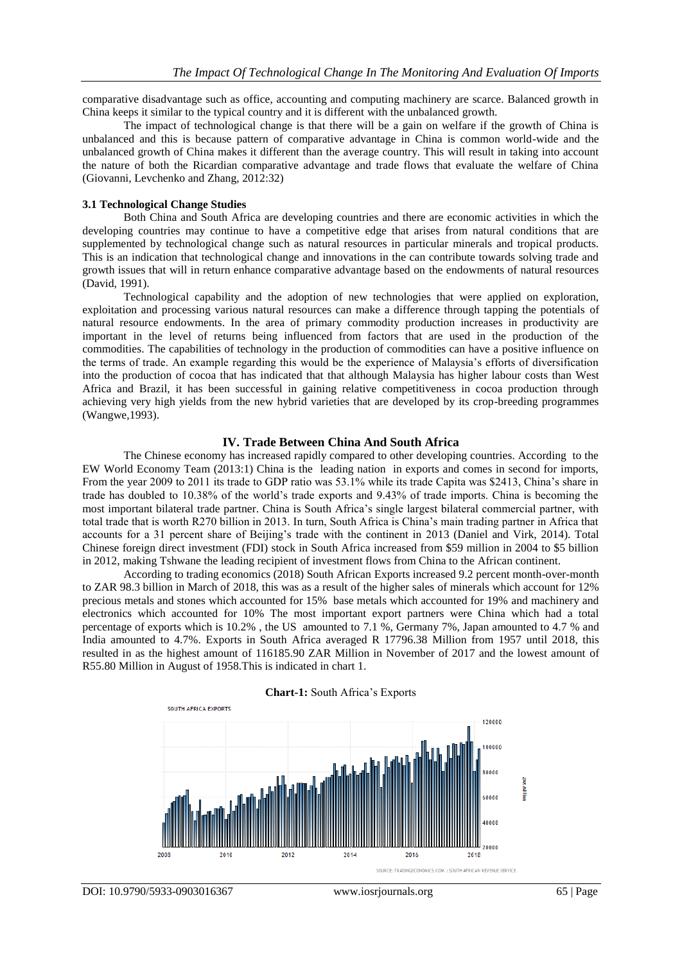comparative disadvantage such as office, accounting and computing machinery are scarce. Balanced growth in China keeps it similar to the typical country and it is different with the unbalanced growth.

The impact of technological change is that there will be a gain on welfare if the growth of China is unbalanced and this is because pattern of comparative advantage in China is common world-wide and the unbalanced growth of China makes it different than the average country. This will result in taking into account the nature of both the Ricardian comparative advantage and trade flows that evaluate the welfare of China (Giovanni, Levchenko and Zhang, 2012:32)

#### **3.1 Technological Change Studies**

Both China and South Africa are developing countries and there are economic activities in which the developing countries may continue to have a competitive edge that arises from natural conditions that are supplemented by technological change such as natural resources in particular minerals and tropical products. This is an indication that technological change and innovations in the can contribute towards solving trade and growth issues that will in return enhance comparative advantage based on the endowments of natural resources (David, 1991).

Technological capability and the adoption of new technologies that were applied on exploration, exploitation and processing various natural resources can make a difference through tapping the potentials of natural resource endowments. In the area of primary commodity production increases in productivity are important in the level of returns being influenced from factors that are used in the production of the commodities. The capabilities of technology in the production of commodities can have a positive influence on the terms of trade. An example regarding this would be the experience of Malaysia's efforts of diversification into the production of cocoa that has indicated that that although Malaysia has higher labour costs than West Africa and Brazil, it has been successful in gaining relative competitiveness in cocoa production through achieving very high yields from the new hybrid varieties that are developed by its crop-breeding programmes (Wangwe,1993).

#### **IV. Trade Between China And South Africa**

The Chinese economy has increased rapidly compared to other developing countries. According to the EW World Economy Team (2013:1) China is the leading nation in exports and comes in second for imports, From the year 2009 to 2011 its trade to GDP ratio was 53.1% while its trade Capita was \$2413, China's share in trade has doubled to 10.38% of the world's trade exports and 9.43% of trade imports. China is becoming the most important bilateral trade partner. China is South Africa's single largest bilateral commercial partner, with total trade that is worth R270 billion in 2013. In turn, South Africa is China's main trading partner in Africa that accounts for a 31 percent share of Beijing's trade with the continent in 2013 (Daniel and Virk, 2014). Total Chinese foreign direct investment (FDI) stock in South Africa increased from \$59 million in 2004 to \$5 billion in 2012, making Tshwane the leading recipient of investment flows from China to the African continent.

According to trading economics (2018) South African Exports increased 9.2 percent month-over-month to ZAR 98.3 billion in March of 2018, this was as a result of the higher sales of minerals which account for 12% precious metals and stones which accounted for 15% base metals which accounted for 19% and machinery and electronics which accounted for 10% The most important export partners were China which had a total percentage of exports which is 10.2% , the US amounted to 7.1 %, Germany 7%, Japan amounted to 4.7 % and India amounted to 4.7%. Exports in South Africa averaged R 17796.38 Million from 1957 until 2018, this resulted in as the highest amount of 116185.90 ZAR Million in November of 2017 and the lowest amount of R55.80 Million in August of 1958.This is indicated in chart 1.



**Chart-1:** South Africa's Exports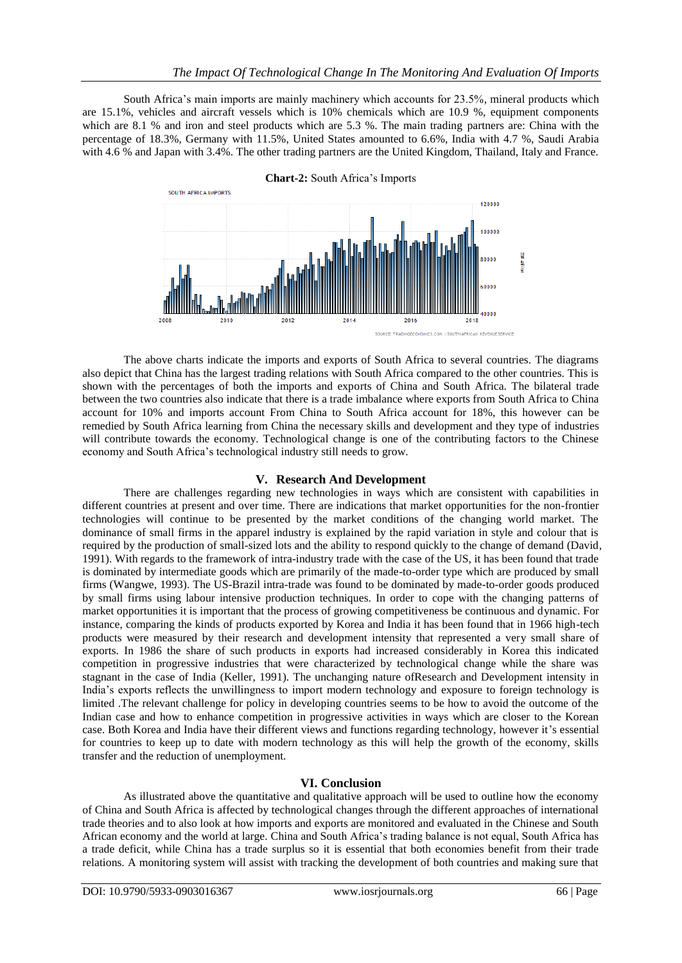South Africa's main imports are mainly machinery which accounts for 23.5%, mineral products which are 15.1%, vehicles and aircraft vessels which is 10% chemicals which are 10.9 %, equipment components which are 8.1 % and iron and steel products which are 5.3 %. The main trading partners are: China with the percentage of 18.3%, Germany with 11.5%, United States amounted to 6.6%, India with 4.7 %, Saudi Arabia with 4.6 % and Japan with 3.4%. The other trading partners are the United Kingdom, Thailand, Italy and France.



The above charts indicate the imports and exports of South Africa to several countries. The diagrams also depict that China has the largest trading relations with South Africa compared to the other countries. This is shown with the percentages of both the imports and exports of China and South Africa. The bilateral trade between the two countries also indicate that there is a trade imbalance where exports from South Africa to China account for 10% and imports account From China to South Africa account for 18%, this however can be remedied by South Africa learning from China the necessary skills and development and they type of industries will contribute towards the economy. Technological change is one of the contributing factors to the Chinese economy and South Africa's technological industry still needs to grow.

## **V. Research And Development**

There are challenges regarding new technologies in ways which are consistent with capabilities in different countries at present and over time. There are indications that market opportunities for the non-frontier technologies will continue to be presented by the market conditions of the changing world market. The dominance of small firms in the apparel industry is explained by the rapid variation in style and colour that is required by the production of small-sized lots and the ability to respond quickly to the change of demand (David, 1991). With regards to the framework of intra-industry trade with the case of the US, it has been found that trade is dominated by intermediate goods which are primarily of the made-to-order type which are produced by small firms (Wangwe, 1993). The US-Brazil intra-trade was found to be dominated by made-to-order goods produced by small firms using labour intensive production techniques. In order to cope with the changing patterns of market opportunities it is important that the process of growing competitiveness be continuous and dynamic. For instance, comparing the kinds of products exported by Korea and India it has been found that in 1966 high-tech products were measured by their research and development intensity that represented a very small share of exports. In 1986 the share of such products in exports had increased considerably in Korea this indicated competition in progressive industries that were characterized by technological change while the share was stagnant in the case of India (Keller, 1991). The unchanging nature ofResearch and Development intensity in India's exports reflects the unwillingness to import modern technology and exposure to foreign technology is limited .The relevant challenge for policy in developing countries seems to be how to avoid the outcome of the Indian case and how to enhance competition in progressive activities in ways which are closer to the Korean case. Both Korea and India have their different views and functions regarding technology, however it's essential for countries to keep up to date with modern technology as this will help the growth of the economy, skills transfer and the reduction of unemployment.

## **VI. Conclusion**

As illustrated above the quantitative and qualitative approach will be used to outline how the economy of China and South Africa is affected by technological changes through the different approaches of international trade theories and to also look at how imports and exports are monitored and evaluated in the Chinese and South African economy and the world at large. China and South Africa's trading balance is not equal, South Africa has a trade deficit, while China has a trade surplus so it is essential that both economies benefit from their trade relations. A monitoring system will assist with tracking the development of both countries and making sure that